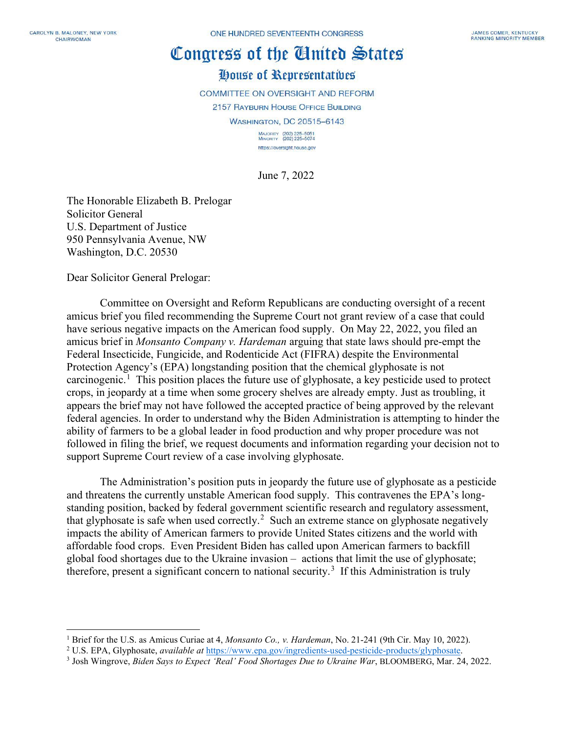## Congress of the Gluited States House of Representatives

COMMITTEE ON OVERSIGHT AND REFORM 2157 RAYBURN HOUSE OFFICE BUILDING WASHINGTON, DC 20515-6143 MAJORITY (202) 225-5051<br>MINORITY (202) 225-5074 https://oversight.house.gov

June 7, 2022

The Honorable Elizabeth B. Prelogar Solicitor General U.S. Department of Justice 950 Pennsylvania Avenue, NW Washington, D.C. 20530

Dear Solicitor General Prelogar:

Committee on Oversight and Reform Republicans are conducting oversight of a recent amicus brief you filed recommending the Supreme Court not grant review of a case that could have serious negative impacts on the American food supply. On May 22, 2022, you filed an amicus brief in *Monsanto Company v. Hardeman* arguing that state laws should pre-empt the Federal Insecticide, Fungicide, and Rodenticide Act (FIFRA) despite the Environmental Protection Agency's (EPA) longstanding position that the chemical glyphosate is not carcinogenic.<sup>[1](#page-0-0)</sup> This position places the future use of glyphosate, a key pesticide used to protect crops, in jeopardy at a time when some grocery shelves are already empty. Just as troubling, it appears the brief may not have followed the accepted practice of being approved by the relevant federal agencies. In order to understand why the Biden Administration is attempting to hinder the ability of farmers to be a global leader in food production and why proper procedure was not followed in filing the brief, we request documents and information regarding your decision not to support Supreme Court review of a case involving glyphosate.

The Administration's position puts in jeopardy the future use of glyphosate as a pesticide and threatens the currently unstable American food supply. This contravenes the EPA's longstanding position, backed by federal government scientific research and regulatory assessment, that glyphosate is safe when used correctly.<sup>[2](#page-0-1)</sup> Such an extreme stance on glyphosate negatively impacts the ability of American farmers to provide United States citizens and the world with affordable food crops. Even President Biden has called upon American farmers to backfill global food shortages due to the Ukraine invasion – actions that limit the use of glyphosate; therefore, present a significant concern to national security.<sup>[3](#page-0-2)</sup> If this Administration is truly

<span id="page-0-0"></span><sup>1</sup> Brief for the U.S. as Amicus Curiae at 4, *Monsanto Co., v. Hardeman*, No. 21-241 (9th Cir. May 10, 2022).

<span id="page-0-1"></span><sup>2</sup> U.S. EPA, Glyphosate, *available at* [https://www.epa.gov/ingredients-used-pesticide-products/glyphosate.](https://www.epa.gov/ingredients-used-pesticide-products/glyphosate)

<span id="page-0-2"></span><sup>3</sup> Josh Wingrove, *Biden Says to Expect 'Real' Food Shortages Due to Ukraine War*, BLOOMBERG, Mar. 24, 2022.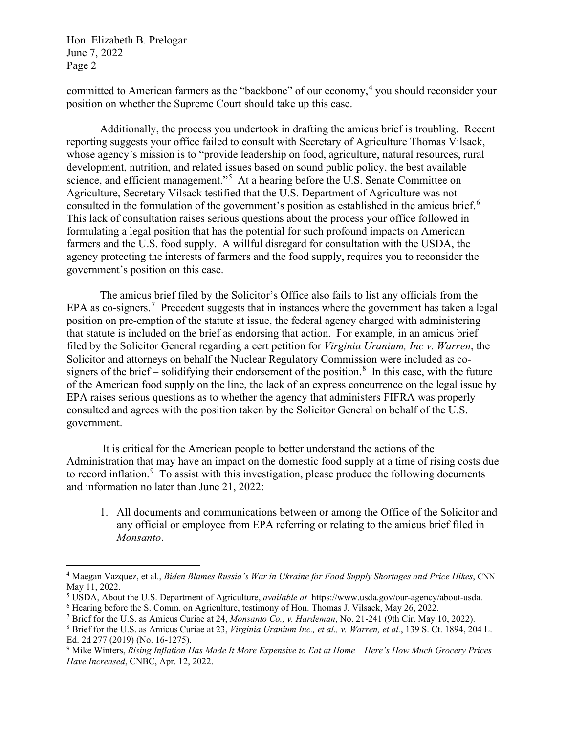Hon. Elizabeth B. Prelogar June 7, 2022 Page 2

committed to American farmers as the "backbone" of our economy,<sup>[4](#page-1-0)</sup> you should reconsider your position on whether the Supreme Court should take up this case.

Additionally, the process you undertook in drafting the amicus brief is troubling. Recent reporting suggests your office failed to consult with Secretary of Agriculture Thomas Vilsack, whose agency's mission is to "provide leadership on food, agriculture, natural resources, rural development, nutrition, and related issues based on sound public policy, the best available science, and efficient management."<sup>[5](#page-1-1)</sup> At a hearing before the U.S. Senate Committee on Agriculture, Secretary Vilsack testified that the U.S. Department of Agriculture was not consulted in the formulation of the government's position as established in the amicus brief.<sup>[6](#page-1-2)</sup> This lack of consultation raises serious questions about the process your office followed in formulating a legal position that has the potential for such profound impacts on American farmers and the U.S. food supply. A willful disregard for consultation with the USDA, the agency protecting the interests of farmers and the food supply, requires you to reconsider the government's position on this case.

The amicus brief filed by the Solicitor's Office also fails to list any officials from the EPA as co-signers.<sup>[7](#page-1-3)</sup> Precedent suggests that in instances where the government has taken a legal position on pre-emption of the statute at issue, the federal agency charged with administering that statute is included on the brief as endorsing that action. For example, in an amicus brief filed by the Solicitor General regarding a cert petition for *Virginia Uranium, Inc v. Warren*, the Solicitor and attorneys on behalf the Nuclear Regulatory Commission were included as co-signers of the brief – solidifying their endorsement of the position.<sup>[8](#page-1-4)</sup> In this case, with the future of the American food supply on the line, the lack of an express concurrence on the legal issue by EPA raises serious questions as to whether the agency that administers FIFRA was properly consulted and agrees with the position taken by the Solicitor General on behalf of the U.S. government.

It is critical for the American people to better understand the actions of the Administration that may have an impact on the domestic food supply at a time of rising costs due to record inflation.<sup>[9](#page-1-5)</sup> To assist with this investigation, please produce the following documents and information no later than June 21, 2022:

1. All documents and communications between or among the Office of the Solicitor and any official or employee from EPA referring or relating to the amicus brief filed in *Monsanto*.

<span id="page-1-0"></span><sup>4</sup> Maegan Vazquez, et al., *Biden Blames Russia's War in Ukraine for Food Supply Shortages and Price Hikes*, CNN May 11, 2022.

<span id="page-1-1"></span><sup>5</sup> USDA, About the U.S. Department of Agriculture, *available at* https://www.usda.gov/our-agency/about-usda.

<span id="page-1-2"></span><sup>6</sup> Hearing before the S. Comm. on Agriculture, testimony of Hon. Thomas J. Vilsack, May 26, 2022.

<span id="page-1-4"></span><span id="page-1-3"></span><sup>7</sup> Brief for the U.S. as Amicus Curiae at 24, *Monsanto Co., v. Hardeman*, No. 21-241 (9th Cir. May 10, 2022). <sup>8</sup> Brief for the U.S. as Amicus Curiae at 23, *Virginia Uranium Inc., et al., v. Warren, et al.*, 139 S. Ct. 1894, 204 L. Ed. 2d 277 (2019) (No. 16-1275).

<span id="page-1-5"></span><sup>9</sup> Mike Winters, *Rising Inflation Has Made It More Expensive to Eat at Home – Here's How Much Grocery Prices Have Increased*, CNBC, Apr. 12, 2022.